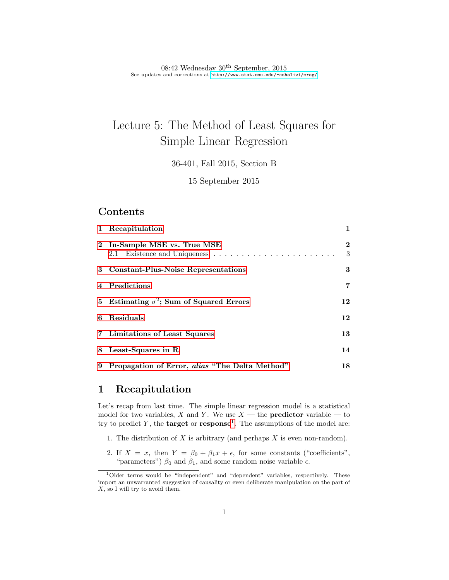08:42 Wednesday  $30<sup>th</sup>$  September, 2015 See updates and corrections at <http://www.stat.cmu.edu/~cshalizi/mreg/>

# Lecture 5: The Method of Least Squares for Simple Linear Regression

36-401, Fall 2015, Section B

15 September 2015

### Contents

| 1 Recapitulation                                 | $\mathbf{1}$   |
|--------------------------------------------------|----------------|
| 2 In-Sample MSE vs. True MSE                     | $\bf{2}$<br>3  |
| 3 Constant-Plus-Noise Representations            | 3              |
| 4 Predictions                                    | $\overline{7}$ |
| 5 Estimating $\sigma^2$ ; Sum of Squared Errors  | 12             |
| 6 Residuals                                      | 12             |
| 7 Limitations of Least Squares                   | 13             |
| 8 Least-Squares in R                             | 14             |
| 9 Propagation of Error, alias "The Delta Method" | 18             |

## <span id="page-0-0"></span>1 Recapitulation

Let's recap from last time. The simple linear regression model is a statistical model for two variables, X and Y. We use  $X$  — the **predictor** variable — to try to predict Y, the **target** or **response**<sup>[1](#page-0-1)</sup>. The assumptions of the model are:

- 1. The distribution of  $X$  is arbitrary (and perhaps  $X$  is even non-random).
- 2. If  $X = x$ , then  $Y = \beta_0 + \beta_1 x + \epsilon$ , for some constants ("coefficients", "parameters") $\beta_0$  and  $\beta_1,$  and some random noise variable  $\epsilon.$

<span id="page-0-1"></span><sup>&</sup>lt;sup>1</sup>Older terms would be "independent" and "dependent" variables, respectively. These import an unwarranted suggestion of causality or even deliberate manipulation on the part of X, so I will try to avoid them.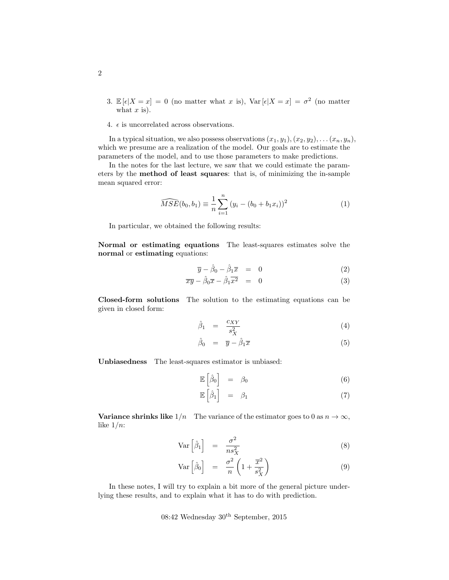- 3.  $\mathbb{E}[\epsilon|X=x] = 0$  (no matter what x is),  $\text{Var}[\epsilon|X=x] = \sigma^2$  (no matter what  $x$  is).
- 4.  $\epsilon$  is uncorrelated across observations.

In a typical situation, we also possess observations  $(x_1, y_1), (x_2, y_2), \ldots (x_n, y_n)$ , which we presume are a realization of the model. Our goals are to estimate the parameters of the model, and to use those parameters to make predictions.

In the notes for the last lecture, we saw that we could estimate the parameters by the method of least squares: that is, of minimizing the in-sample mean squared error:

$$
\widehat{MSE}(b_0, b_1) \equiv \frac{1}{n} \sum_{i=1}^{n} (y_i - (b_0 + b_1 x_i))^2
$$
 (1)

In particular, we obtained the following results:

Normal or estimating equations The least-squares estimates solve the normal or estimating equations:

<span id="page-1-1"></span>
$$
\overline{y} - \hat{\beta}_0 - \hat{\beta}_1 \overline{x} = 0 \tag{2}
$$

$$
\overline{xy} - \hat{\beta}_0 \overline{x} - \hat{\beta}_1 \overline{x^2} = 0 \tag{3}
$$

Closed-form solutions The solution to the estimating equations can be given in closed form:

<span id="page-1-0"></span>
$$
\hat{\beta}_1 = \frac{c_{XY}}{s_X^2} \tag{4}
$$

$$
\hat{\beta}_0 = \overline{y} - \hat{\beta}_1 \overline{x} \tag{5}
$$

Unbiasedness The least-squares estimator is unbiased:

<span id="page-1-2"></span>
$$
\mathbb{E}\left[\hat{\beta}_0\right] = \beta_0 \tag{6}
$$

$$
\mathbb{E}\left[\hat{\beta}_1\right] = \beta_1 \tag{7}
$$

**Variance shrinks like**  $1/n$  The variance of the estimator goes to 0 as  $n \to \infty$ , like  $1/n$ :

<span id="page-1-3"></span>
$$
\text{Var}\left[\hat{\beta}_1\right] = \frac{\sigma^2}{n s_X^2} \tag{8}
$$

$$
\text{Var}\left[\hat{\beta}_0\right] = \frac{\sigma^2}{n} \left(1 + \frac{\overline{x}^2}{s_X^2}\right) \tag{9}
$$

In these notes, I will try to explain a bit more of the general picture underlying these results, and to explain what it has to do with prediction.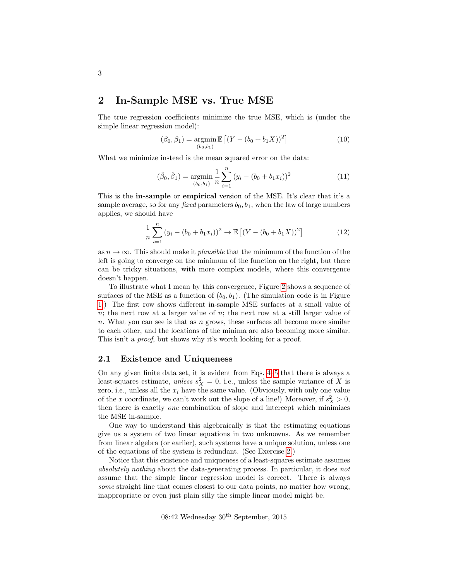## <span id="page-2-0"></span>2 In-Sample MSE vs. True MSE

The true regression coefficients minimize the true MSE, which is (under the simple linear regression model):

$$
(\beta_0, \beta_1) = \underset{(b_0, b_1)}{\operatorname{argmin}} \mathbb{E}\left[ (Y - (b_0 + b_1 X))^2 \right] \tag{10}
$$

What we minimize instead is the mean squared error on the data:

$$
(\hat{\beta}_0, \hat{\beta}_1) = \underset{(b_0, b_1)}{\operatorname{argmin}} \frac{1}{n} \sum_{i=1}^n (y_i - (b_0 + b_1 x_i))^2
$$
 (11)

This is the in-sample or empirical version of the MSE. It's clear that it's a sample average, so for any *fixed* parameters  $b_0$ ,  $b_1$ , when the law of large numbers applies, we should have

$$
\frac{1}{n}\sum_{i=1}^{n}(y_i - (b_0 + b_1x_i))^2 \to \mathbb{E}\left[ (Y - (b_0 + b_1X))^2 \right]
$$
\n(12)

as  $n \to \infty$ . This should make it *plausible* that the minimum of the function of the left is going to converge on the minimum of the function on the right, but there can be tricky situations, with more complex models, where this convergence doesn't happen.

To illustrate what I mean by this convergence, Figure [2](#page-4-0) shows a sequence of surfaces of the MSE as a function of  $(b_0, b_1)$ . (The simulation code is in Figure [1.](#page-3-0)) The first row shows different in-sample MSE surfaces at a small value of n; the next row at a larger value of n; the next row at a still larger value of n. What you can see is that as  $n$  grows, these surfaces all become more similar to each other, and the locations of the minima are also becoming more similar. This isn't a *proof*, but shows why it's worth looking for a proof.

#### <span id="page-2-1"></span>2.1 Existence and Uniqueness

On any given finite data set, it is evident from Eqs. [4–5](#page-1-0) that there is always a least-squares estimate, unless  $s_X^2 = 0$ , i.e., unless the sample variance of X is zero, i.e., unless all the  $x_i$  have the same value. (Obviously, with only one value of the x coordinate, we can't work out the slope of a line!) Moreover, if  $s_X^2 > 0$ , then there is exactly one combination of slope and intercept which minimizes the MSE in-sample.

One way to understand this algebraically is that the estimating equations give us a system of two linear equations in two unknowns. As we remember from linear algebra (or earlier), such systems have a unique solution, unless one of the equations of the system is redundant. (See Exercise [2.](#page-19-0))

Notice that this existence and uniqueness of a least-squares estimate assumes absolutely nothing about the data-generating process. In particular, it does not assume that the simple linear regression model is correct. There is always some straight line that comes closest to our data points, no matter how wrong, inappropriate or even just plain silly the simple linear model might be.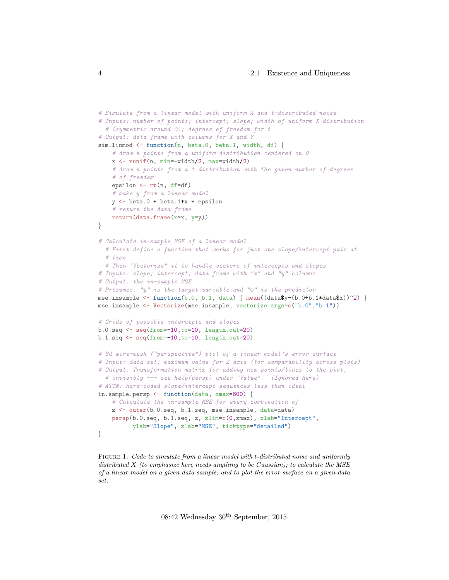```
# Simulate from a linear model with uniform X and t-distributed noise
# Inputs: number of points; intercept; slope; width of uniform X distribution
  # (symmetric around 0); degrees of freedom for t
# Output: data frame with columns for X and Y
sim.linmod \leq function(n, beta.0, beta.1, width, df) {
    # draw n points from a uniform distribution centered on 0
   x \leftarrow \text{runif}(n, \text{min}=\text{width}/2, \text{max}=\text{width}/2)# draw n points from a t distribution with the given number of degrees
    # of freedom
   epsilon <- rt(n, df=df)
    # make y from a linear model
   y \leftarrow \text{beta.0 + beta.1*x + epsilon}# return the data frame
   return(data.frame(x=x, y=y))
}
# Calculate in-sample MSE of a linear model
 # First define a function that works for just one slope/intercept pair at
  # time
  # Then "Vectorize" it to handle vectors of intercepts and slopes
# Inputs: slope; intercept; data frame with "x" and "y" columns
# Output: the in-sample MSE
# Presumes: "y" is the target variable and "x" is the predictor
mse.insample \leftarrow function(b.0, b.1, data) { mean((data$y-(b.0+b.1*data$x))^2) }
mse.insample <- Vectorize(mse.insample, vectorize.args=c("b.0","b.1"))
# Grids of possible intercepts and slopes
b.0.seq <- seq(from=-10,to=10, length.out=20)
b.1.seq <- seq(from=-10,to=10, length.out=20)
# 3d wire-mesh ("perspective") plot of a linear model's error surface
# Input: data set; maximum value for Z axis (for comparability across plots)
# Output: Transformation matrix for adding new points/lines to the plot,
  # invisibly --- see help(persp) under "Value". (Ignored here)
# ATTN: hard-coded slope/intercept sequences less than ideal
in.sample.persp <- function(data, zmax=600) {
    # Calculate the in-sample MSE for every combination of
    z <- outer(b.0.seq, b.1.seq, mse.insample, data=data)
    persp(b.0.seq, b.1.seq, z, zlim=c(0,zmax), xlab="Intercept",
          ylab="Slope", zlab="MSE", ticktype="detailed")
}
```
Figure 1: Code to simulate from a linear model with t-distributed noise and uniformly distributed  $X$  (to emphasize here needs anything to be Gaussian); to calculate the MSE of a linear model on a given data sample; and to plot the error surface on a given data set.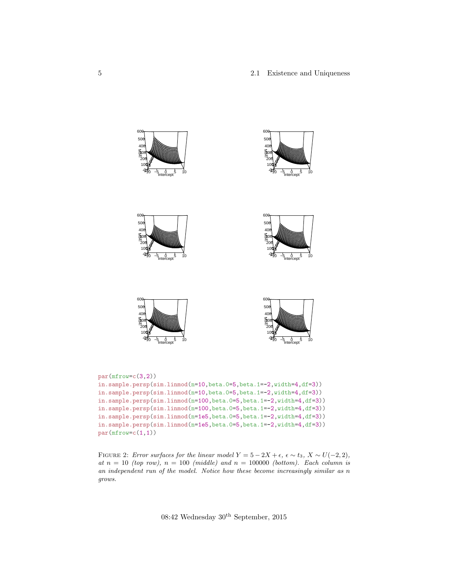#### 5 2.1 Existence and Uniqueness

<span id="page-4-0"></span>

FIGURE 2: Error surfaces for the linear model  $Y = 5 - 2X + \epsilon$ ,  $\epsilon \sim t_3$ ,  $X \sim U(-2, 2)$ , at  $n = 10$  (top row),  $n = 100$  (middle) and  $n = 100000$  (bottom). Each column is an independent run of the model. Notice how these become increasingly similar as n grows.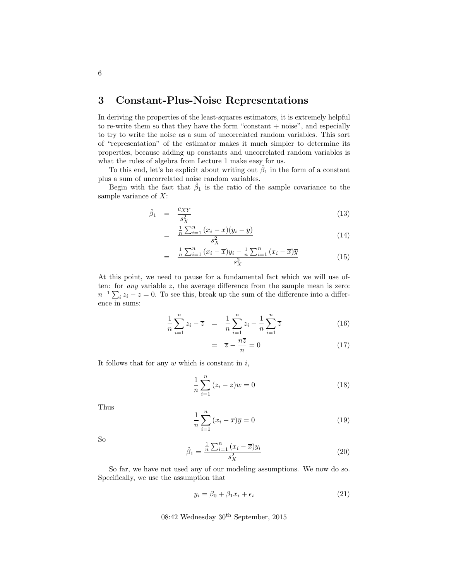## <span id="page-5-0"></span>3 Constant-Plus-Noise Representations

In deriving the properties of the least-squares estimators, it is extremely helpful to re-write them so that they have the form "constant  $+$  noise", and especially to try to write the noise as a sum of uncorrelated random variables. This sort of "representation" of the estimator makes it much simpler to determine its properties, because adding up constants and uncorrelated random variables is what the rules of algebra from Lecture 1 make easy for us.

To this end, let's be explicit about writing out  $\hat{\beta}_1$  in the form of a constant plus a sum of uncorrelated noise random variables.

Begin with the fact that  $\hat{\beta}_1$  is the ratio of the sample covariance to the sample variance of  $X$ :

$$
\hat{\beta}_1 = \frac{c_{XY}}{s_X^2} \tag{13}
$$

$$
= \frac{\frac{1}{n}\sum_{i=1}^{n}\left(x_i-\overline{x}\right)\left(y_i-\overline{y}\right)}{s_X^2} \tag{14}
$$

$$
= \frac{\frac{1}{n}\sum_{i=1}^{n}(x_i - \overline{x})y_i - \frac{1}{n}\sum_{i=1}^{n}(x_i - \overline{x})\overline{y}}{s_X^2}
$$
(15)

At this point, we need to pause for a fundamental fact which we will use often: for *any* variable  $z$ , the average difference from the sample mean is zero:  $n^{-1}\sum_i z_i - \overline{z} = 0$ . To see this, break up the sum of the difference into a difference in sums:

$$
\frac{1}{n}\sum_{i=1}^{n}z_{i}-\overline{z} = \frac{1}{n}\sum_{i=1}^{n}z_{i}-\frac{1}{n}\sum_{i=1}^{n}\overline{z}
$$
\n(16)

$$
= \overline{z} - \frac{n\overline{z}}{n} = 0 \tag{17}
$$

It follows that for any  $w$  which is constant in  $i$ ,

<span id="page-5-2"></span>
$$
\frac{1}{n}\sum_{i=1}^{n}(z_i - \overline{z})w = 0
$$
\n(18)

Thus

$$
\frac{1}{n}\sum_{i=1}^{n}(x_i - \overline{x})\overline{y} = 0
$$
\n(19)

So

<span id="page-5-1"></span>
$$
\hat{\beta}_1 = \frac{\frac{1}{n} \sum_{i=1}^n (x_i - \overline{x}) y_i}{s_X^2}
$$
\n(20)

So far, we have not used any of our modeling assumptions. We now do so. Specifically, we use the assumption that

$$
y_i = \beta_0 + \beta_1 x_i + \epsilon_i \tag{21}
$$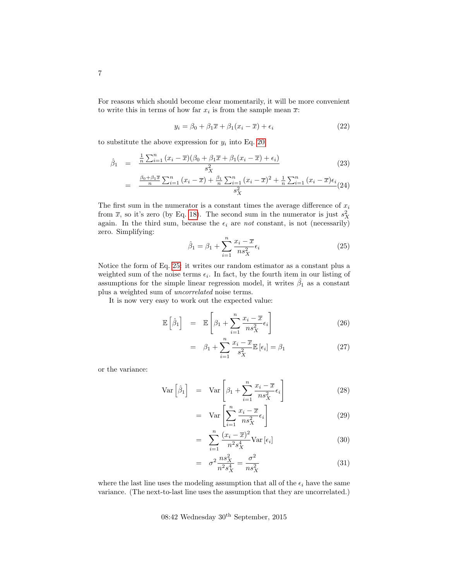For reasons which should become clear momentarily, it will be more convenient to write this in terms of how far  $x_i$  is from the sample mean  $\overline{x}$ :

$$
y_i = \beta_0 + \beta_1 \overline{x} + \beta_1 (x_i - \overline{x}) + \epsilon_i \tag{22}
$$

to substitute the above expression for  $y_i$  into Eq. [20:](#page-5-1)

$$
\hat{\beta}_1 = \frac{\frac{1}{n} \sum_{i=1}^n (x_i - \overline{x})(\beta_0 + \beta_1 \overline{x} + \beta_1 (x_i - \overline{x}) + \epsilon_i)}{s_X^2}
$$
\n
$$
\frac{\beta_0 + \beta_1 \overline{x}}{s} \sum_{i=1}^n (x_i - \overline{x}) + \frac{\beta_1}{n} \sum_{i=1}^n (x_i - \overline{x})^2 + \frac{1}{n} \sum_{i=1}^n (x_i - \overline{x}) \epsilon_i
$$
\n(23)

$$
= \frac{\frac{\beta_0 + \beta_1 \overline{x}}{n} \sum_{i=1}^n (x_i - \overline{x}) + \frac{\beta_1}{n} \sum_{i=1}^n (x_i - \overline{x})^2 + \frac{1}{n} \sum_{i=1}^n (x_i - \overline{x}) \epsilon_i}{s_X^2} (24)
$$

The first sum in the numerator is a constant times the average difference of  $x_i$ from  $\bar{x}$ , so it's zero (by Eq. [18\)](#page-5-2). The second sum in the numerator is just  $s_X^2$ again. In the third sum, because the  $\epsilon_i$  are not constant, is not (necessarily) zero. Simplifying:

<span id="page-6-0"></span>
$$
\hat{\beta}_1 = \beta_1 + \sum_{i=1}^n \frac{x_i - \overline{x}}{n s_X^2} \epsilon_i
$$
\n(25)

Notice the form of Eq. [25:](#page-6-0) it writes our random estimator as a constant plus a weighted sum of the noise terms  $\epsilon_i$ . In fact, by the fourth item in our listing of assumptions for the simple linear regression model, it writes  $\hat{\beta}_1$  as a constant plus a weighted sum of uncorrelated noise terms.

It is now very easy to work out the expected value:

$$
\mathbb{E}\left[\hat{\beta}_1\right] = \mathbb{E}\left[\beta_1 + \sum_{i=1}^n \frac{x_i - \overline{x}}{ns_X^2} \epsilon_i\right]
$$
\n(26)

$$
= \beta_1 + \sum_{i=1}^{n} \frac{x_i - \overline{x}}{s_X^2} \mathbb{E}[\epsilon_i] = \beta_1 \tag{27}
$$

or the variance:

$$
\text{Var}\left[\hat{\beta}_1\right] = \text{Var}\left[\beta_1 + \sum_{i=1}^n \frac{x_i - \overline{x}}{n s_X^2} \epsilon_i\right] \tag{28}
$$

$$
= \operatorname{Var}\left[\sum_{i=1}^{n} \frac{x_i - \overline{x}}{n s_X^2} \epsilon_i\right]
$$
 (29)

$$
= \sum_{i=1}^{n} \frac{(x_i - \overline{x})^2}{n^2 s_X^4} \text{Var}[\epsilon_i]
$$
\n(30)

$$
= \sigma^2 \frac{n s_X^2}{n^2 s_X^4} = \frac{\sigma^2}{n s_X^2}
$$
 (31)

where the last line uses the modeling assumption that all of the  $\epsilon_i$  have the same variance. (The next-to-last line uses the assumption that they are uncorrelated.)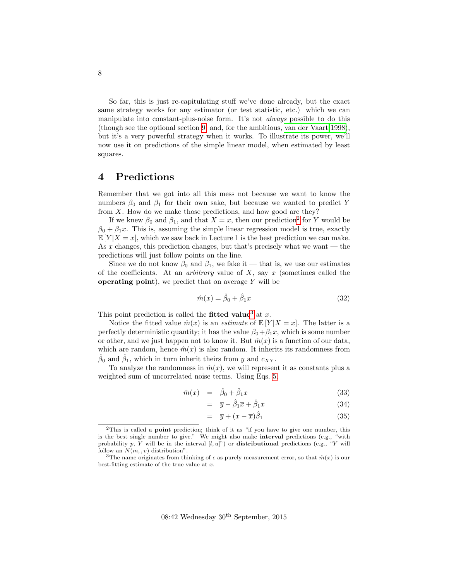So far, this is just re-capitulating stuff we've done already, but the exact same strategy works for any estimator (or test statistic, etc.) which we can manipulate into constant-plus-noise form. It's not always possible to do this (though see the optional section [9,](#page-17-0) and, for the ambitious, [van der Vaart 1998\)](#page-20-0), but it's a very powerful strategy when it works. To illustrate its power, we'll now use it on predictions of the simple linear model, when estimated by least squares.

## <span id="page-7-0"></span>4 Predictions

Remember that we got into all this mess not because we want to know the numbers  $\beta_0$  and  $\beta_1$  for their own sake, but because we wanted to predict Y from  $X$ . How do we make those predictions, and how good are they?

If we knew  $\beta_0$  and  $\beta_1$ , and that  $X = x$ , then our prediction<sup>[2](#page-7-1)</sup> for Y would be  $\beta_0 + \beta_1 x$ . This is, assuming the simple linear regression model is true, exactly  $\mathbb{E}[Y|X=x]$ , which we saw back in Lecture 1 is the best prediction we can make. As x changes, this prediction changes, but that's precisely what we want  $-$  the predictions will just follow points on the line.

Since we do not know  $\beta_0$  and  $\beta_1$ , we fake it — that is, we use our estimates of the coefficients. At an *arbitrary* value of  $X$ , say  $x$  (sometimes called the operating point), we predict that on average  $Y$  will be

$$
\hat{m}(x) = \hat{\beta}_0 + \hat{\beta}_1 x \tag{32}
$$

This point prediction is called the **fitted value**<sup>[3](#page-7-2)</sup> at x.

Notice the fitted value  $\hat{m}(x)$  is an *estimate* of  $\mathbb{E}[Y|X=x]$ . The latter is a perfectly deterministic quantity; it has the value  $\beta_0 + \beta_1 x$ , which is some number or other, and we just happen not to know it. But  $\hat{m}(x)$  is a function of our data, which are random, hence  $\hat{m}(x)$  is also random. It inherits its randomness from  $\hat{\beta}_0$  and  $\hat{\beta}_1$ , which in turn inherit theirs from  $\overline{y}$  and  $c_{XY}$ .

To analyze the randomness in  $\hat{m}(x)$ , we will represent it as constants plus a weighted sum of uncorrelated noise terms. Using Eqs. [5,](#page-1-0)

$$
\hat{m}(x) = \hat{\beta}_0 + \hat{\beta}_1 x \tag{33}
$$

$$
= \overline{y} - \hat{\beta}_1 \overline{x} + \hat{\beta}_1 x \tag{34}
$$

$$
= \overline{y} + (x - \overline{x})\hat{\beta}_1 \tag{35}
$$

<span id="page-7-1"></span> $2$ This is called a **point** prediction; think of it as "if you have to give one number, this is the best single number to give." We might also make **interval** predictions (e.g., "with probability p, Y will be in the interval  $[l, u]^n$  or **distributional** predictions (e.g., "Y will follow an  $N(m, v)$  distribution".

<span id="page-7-2"></span><sup>&</sup>lt;sup>3</sup>The name originates from thinking of  $\epsilon$  as purely measurement error, so that  $\hat{m}(x)$  is our best-fitting estimate of the true value at  $x$ .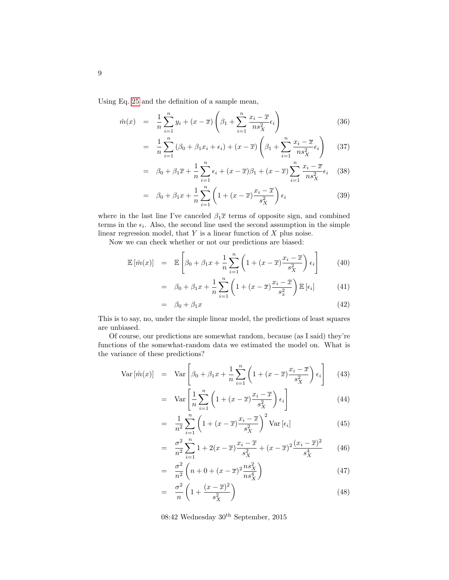Using Eq. [25](#page-6-0) and the definition of a sample mean,

$$
\hat{m}(x) = \frac{1}{n} \sum_{i=1}^{n} y_i + (x - \overline{x}) \left( \beta_1 + \sum_{i=1}^{n} \frac{x_i - \overline{x}}{n s_X^2} \epsilon_i \right)
$$
\n(36)

$$
= \frac{1}{n} \sum_{i=1}^{n} (\beta_0 + \beta_1 x_i + \epsilon_i) + (x - \overline{x}) \left( \beta_1 + \sum_{i=1}^{n} \frac{x_i - \overline{x}}{n s_X^2} \epsilon_i \right) \tag{37}
$$

$$
= \beta_0 + \beta_1 \overline{x} + \frac{1}{n} \sum_{i=1}^n \epsilon_i + (x - \overline{x})\beta_1 + (x - \overline{x}) \sum_{i=1}^n \frac{x_i - \overline{x}}{n s_X^2} \epsilon_i \quad (38)
$$

$$
= \beta_0 + \beta_1 x + \frac{1}{n} \sum_{i=1}^n \left( 1 + (x - \overline{x}) \frac{x_i - \overline{x}}{s_X^2} \right) \epsilon_i
$$
 (39)

where in the last line I've canceled  $\beta_1 \bar{x}$  terms of opposite sign, and combined terms in the  $\epsilon_i$ . Also, the second line used the second assumption in the simple linear regression model, that  $Y$  is a linear function of  $X$  plus noise.

Now we can check whether or not our predictions are biased:

$$
\mathbb{E}\left[\hat{m}(x)\right] = \mathbb{E}\left[\beta_0 + \beta_1 x + \frac{1}{n} \sum_{i=1}^n \left(1 + (x - \overline{x})\frac{x_i - \overline{x}}{s_X^2}\right) \epsilon_i\right] \tag{40}
$$

$$
= \beta_0 + \beta_1 x + \frac{1}{n} \sum_{i=1}^n \left( 1 + (x - \overline{x}) \frac{x_i - \overline{x}}{s_x^2} \right) \mathbb{E} \left[ \epsilon_i \right] \tag{41}
$$

$$
= \beta_0 + \beta_1 x \tag{42}
$$

This is to say, no, under the simple linear model, the predictions of least squares are unbiased.

Of course, our predictions are somewhat random, because (as I said) they're functions of the somewhat-random data we estimated the model on. What is the variance of these predictions?

<span id="page-8-0"></span>
$$
\text{Var}\left[\hat{m}(x)\right] = \text{Var}\left[\beta_0 + \beta_1 x + \frac{1}{n} \sum_{i=1}^n \left(1 + (x - \overline{x})\frac{x_i - \overline{x}}{s_X^2}\right) \epsilon_i\right] \tag{43}
$$

$$
= \operatorname{Var}\left[\frac{1}{n}\sum_{i=1}^{n}\left(1+(x-\overline{x})\frac{x_{i}-\overline{x}}{s_{X}^{2}}\right)\epsilon_{i}\right]
$$
(44)

$$
= \frac{1}{n^2} \sum_{i=1}^n \left( 1 + (x - \overline{x}) \frac{x_i - \overline{x}}{s_X^2} \right)^2 \text{Var} \left[ \epsilon_i \right] \tag{45}
$$

$$
= \frac{\sigma^2}{n^2} \sum_{i=1}^n 1 + 2(x - \overline{x}) \frac{x_i - \overline{x}}{s_X^2} + (x - \overline{x})^2 \frac{(x_i - \overline{x})^2}{s_X^4}
$$
(46)

$$
= \frac{\sigma^2}{n^2} \left( n + 0 + (x - \overline{x})^2 \frac{n s_X^2}{n s_X^4} \right)
$$
(47)

$$
= \frac{\sigma^2}{n} \left( 1 + \frac{(x - \overline{x})^2}{s_X^2} \right) \tag{48}
$$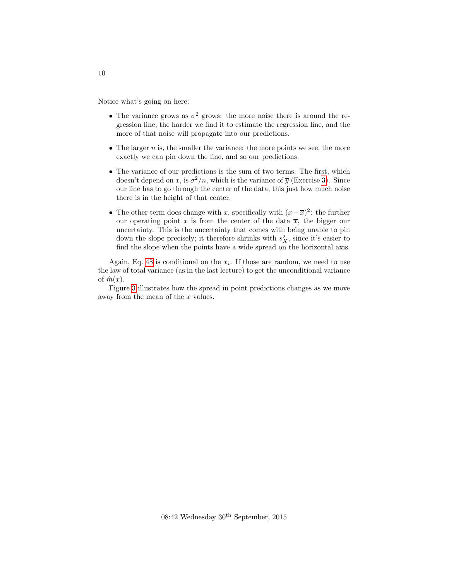Notice what's going on here:

- The variance grows as  $\sigma^2$  grows: the more noise there is around the regression line, the harder we find it to estimate the regression line, and the more of that noise will propagate into our predictions.
- The larger  $n$  is, the smaller the variance: the more points we see, the more exactly we can pin down the line, and so our predictions.
- The variance of our predictions is the sum of two terms. The first, which doesn't depend on x, is  $\sigma^2/n$ , which is the variance of  $\overline{y}$  (Exercise [3\)](#page-19-1). Since our line has to go through the center of the data, this just how much noise there is in the height of that center.
- The other term does change with x, specifically with  $(x \overline{x})^2$ : the further our operating point x is from the center of the data  $\overline{x}$ , the bigger our uncertainty. This is the uncertainty that comes with being unable to pin down the slope precisely; it therefore shrinks with  $s_X^2$ , since it's easier to find the slope when the points have a wide spread on the horizontal axis.

Again, Eq. [48](#page-8-0) is conditional on the  $x_i$ . If those are random, we need to use the law of total variance (as in the last lecture) to get the unconditional variance of  $\hat{m}(x)$ .

Figure [3](#page-10-0) illustrates how the spread in point predictions changes as we move away from the mean of the x values.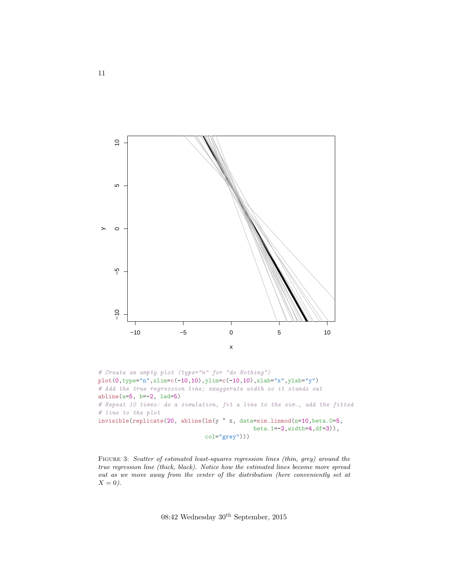<span id="page-10-0"></span>

```
plot(0,type="n",xlim=c(-10,10),ylim=c(-10,10),xlab="x",ylab="y")
# Add the true regression line; exaggerate width so it stands out
abline(a=5, b=-2, lwd=5)
# Repeat 10 times: do a simulation, fit a line to the sim., add the fitted
# line to the plot
invisible(replicate(20, abline(lm(y ~ x, data=sim.linmod(n=10,beta.0=5,
                                             beta.1=-2,width=4,df=3)),
                               col="grey")))
```
FIGURE 3: Scatter of estimated least-squares regression lines (thin, grey) around the true regression line (thick, black). Notice how the estimated lines become more spread out as we move away from the center of the distribution (here conveniently set at  $X=0$ ).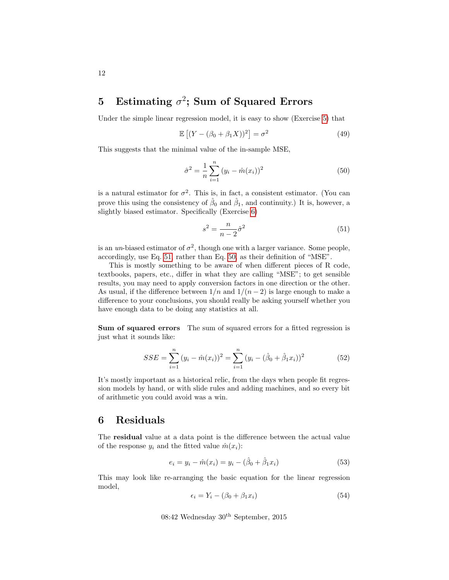## <span id="page-11-0"></span>5 Estimating  $\sigma^2$ ; Sum of Squared Errors

Under the simple linear regression model, it is easy to show (Exercise [5\)](#page-20-1) that

<span id="page-11-6"></span>
$$
\mathbb{E}\left[\left(Y - (\beta_0 + \beta_1 X)\right)^2\right] = \sigma^2\tag{49}
$$

This suggests that the minimal value of the in-sample MSE,

<span id="page-11-3"></span>
$$
\hat{\sigma}^2 = \frac{1}{n} \sum_{i=1}^n (y_i - \hat{m}(x_i))^2
$$
\n(50)

is a natural estimator for  $\sigma^2$ . This is, in fact, a consistent estimator. (You can prove this using the consistency of  $\hat{\beta}_0$  and  $\hat{\beta}_1$ , and continuity.) It is, however, a slightly biased estimator. Specifically (Exercise [6\)](#page-20-2)

<span id="page-11-2"></span>
$$
s^2 = \frac{n}{n-2}\hat{\sigma}^2\tag{51}
$$

is an un-biased estimator of  $\sigma^2$ , though one with a larger variance. Some people, accordingly, use Eq. [51,](#page-11-2) rather than Eq. [50,](#page-11-3) as their definition of "MSE".

This is mostly something to be aware of when different pieces of R code, textbooks, papers, etc., differ in what they are calling "MSE"; to get sensible results, you may need to apply conversion factors in one direction or the other. As usual, if the difference between  $1/n$  and  $1/(n-2)$  is large enough to make a difference to your conclusions, you should really be asking yourself whether you have enough data to be doing any statistics at all.

Sum of squared errors The sum of squared errors for a fitted regression is just what it sounds like:

$$
SSE = \sum_{i=1}^{n} (y_i - \hat{m}(x_i))^2 = \sum_{i=1}^{n} (y_i - (\hat{\beta}_0 + \hat{\beta}_1 x_i))^2
$$
(52)

It's mostly important as a historical relic, from the days when people fit regression models by hand, or with slide rules and adding machines, and so every bit of arithmetic you could avoid was a win.

### <span id="page-11-1"></span>6 Residuals

The residual value at a data point is the difference between the actual value of the response  $y_i$  and the fitted value  $\hat{m}(x_i)$ :

<span id="page-11-5"></span>
$$
e_i = y_i - \hat{m}(x_i) = y_i - (\hat{\beta}_0 + \hat{\beta}_1 x_i)
$$
\n(53)

This may look like re-arranging the basic equation for the linear regression model,

<span id="page-11-4"></span>
$$
\epsilon_i = Y_i - (\beta_0 + \beta_1 x_i) \tag{54}
$$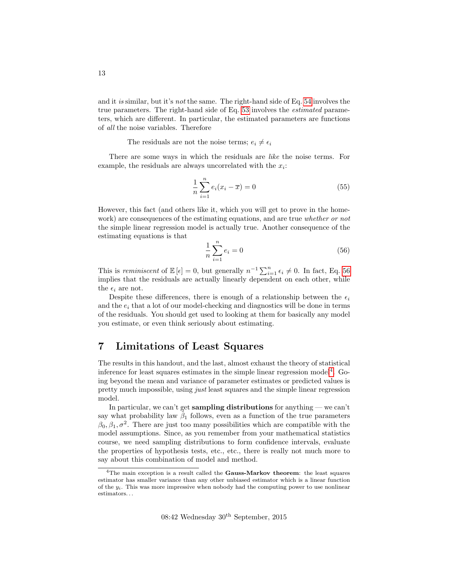and it is similar, but it's not the same. The right-hand side of Eq. [54](#page-11-4) involves the true parameters. The right-hand side of Eq. [53](#page-11-5) involves the estimated parameters, which are different. In particular, the estimated parameters are functions of all the noise variables. Therefore

The residuals are not the noise terms;  $e_i \neq \epsilon_i$ 

There are some ways in which the residuals are like the noise terms. For example, the residuals are always uncorrelated with the  $x_i$ :

$$
\frac{1}{n}\sum_{i=1}^{n}e_i(x_i - \overline{x}) = 0
$$
\n(55)

However, this fact (and others like it, which you will get to prove in the homework) are consequences of the estimating equations, and are true whether or not the simple linear regression model is actually true. Another consequence of the estimating equations is that

<span id="page-12-1"></span>
$$
\frac{1}{n}\sum_{i=1}^{n}e_i = 0
$$
\n(56)

This is *reminiscent* of  $\mathbb{E}[\epsilon] = 0$ , but generally  $n^{-1} \sum_{i=1}^{n} \epsilon_i \neq 0$ . In fact, Eq. [56](#page-12-1) implies that the residuals are actually linearly dependent on each other, while the  $\epsilon_i$  are not.

Despite these differences, there is enough of a relationship between the  $\epsilon_i$ and the  $e_i$  that a lot of our model-checking and diagnostics will be done in terms of the residuals. You should get used to looking at them for basically any model you estimate, or even think seriously about estimating.

## <span id="page-12-0"></span>7 Limitations of Least Squares

The results in this handout, and the last, almost exhaust the theory of statistical inference for least squares estimates in the simple linear regression model<sup>[4](#page-12-2)</sup>. Going beyond the mean and variance of parameter estimates or predicted values is pretty much impossible, using just least squares and the simple linear regression model.

In particular, we can't get **sampling distributions** for anything — we can't say what probability law  $\hat{\beta}_1$  follows, even as a function of the true parameters  $\beta_0, \beta_1, \sigma^2$ . There are just too many possibilities which are compatible with the model assumptions. Since, as you remember from your mathematical statistics course, we need sampling distributions to form confidence intervals, evaluate the properties of hypothesis tests, etc., etc., there is really not much more to say about this combination of model and method.

<span id="page-12-2"></span><sup>&</sup>lt;sup>4</sup>The main exception is a result called the Gauss-Markov theorem: the least squares estimator has smaller variance than any other unbiased estimator which is a linear function of the  $y_i$ . This was more impressive when nobody had the computing power to use nonlinear estimators. . .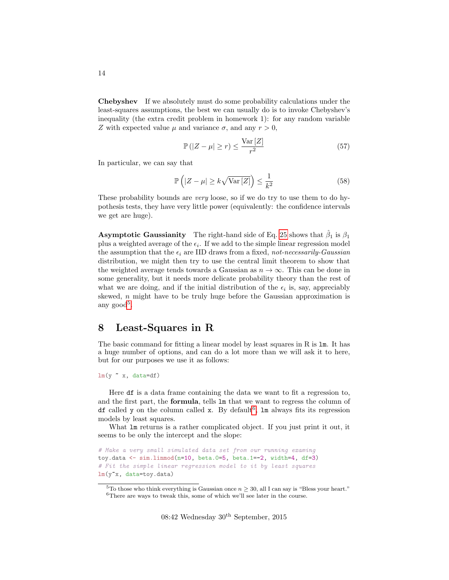Chebyshev If we absolutely must do some probability calculations under the least-squares assumptions, the best we can usually do is to invoke Chebyshev's inequality (the extra credit problem in homework 1): for any random variable Z with expected value  $\mu$  and variance  $\sigma$ , and any  $r > 0$ ,

$$
\mathbb{P}\left(|Z-\mu|\geq r\right)\leq \frac{\text{Var}\left[Z\right]}{r^2}\tag{57}
$$

In particular, we can say that

$$
\mathbb{P}\left(|Z - \mu| \ge k\sqrt{\text{Var}\left[Z\right]}\right) \le \frac{1}{k^2} \tag{58}
$$

These probability bounds are very loose, so if we do try to use them to do hypothesis tests, they have very little power (equivalently: the confidence intervals we get are huge).

**Asymptotic Gaussianity** The right-hand side of Eq. [25](#page-6-0) shows that  $\hat{\beta}_1$  is  $\beta_1$ plus a weighted average of the  $\epsilon_i$ . If we add to the simple linear regression model the assumption that the  $\epsilon_i$  are IID draws from a fixed, not-necessarily-Gaussian distribution, we might then try to use the central limit theorem to show that the weighted average tends towards a Gaussian as  $n \to \infty$ . This can be done in some generality, but it needs more delicate probability theory than the rest of what we are doing, and if the initial distribution of the  $\epsilon_i$  is, say, appreciably skewed, n might have to be truly huge before the Gaussian approximation is any  $\text{good}^5$  $\text{good}^5$ .

## <span id="page-13-0"></span>8 Least-Squares in R

The basic command for fitting a linear model by least squares in R is  $\text{Im}$ . It has a huge number of options, and can do a lot more than we will ask it to here, but for our purposes we use it as follows:

```
lm(y \text{ x}, data=df)
```
Here df is a data frame containing the data we want to fit a regression to, and the first part, the formula, tells lm that we want to regress the column of df called y on the column called  $x$ . By default<sup>[6](#page-13-2)</sup>,  $lm$  always fits its regression models by least squares.

What  $\text{Im}$  returns is a rather complicated object. If you just print it out, it seems to be only the intercept and the slope:

# Make a very small simulated data set from our running examing toy.data  $\leq$  sim.linmod(n=10, beta.0=5, beta.1=-2, width=4, df=3) # Fit the simple linear regression model to it by least squares  $lm(y^{\star}x, data=toy.data)$ 

<span id="page-13-2"></span><span id="page-13-1"></span><sup>&</sup>lt;sup>5</sup>To those who think everything is Gaussian once  $n > 30$ , all I can say is "Bless your heart." <sup>6</sup>There are ways to tweak this, some of which we'll see later in the course.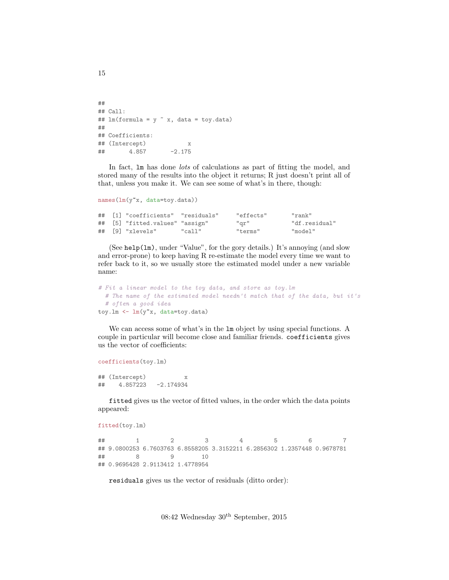```
##
## Call:
## lm(formula = y x, data = toy.data)##
## Coefficients:
## (Intercept) x
\# \# \# \frac{4.857}{2.175}
```
In fact,  $\text{Im}$  has done *lots* of calculations as part of fitting the model, and stored many of the results into the object it returns; R just doesn't print all of that, unless you make it. We can see some of what's in there, though:

```
names(lm(y<sup>"x</sup>, data=toy.data))
```

|  | ## [1] "coefficients" "residuals" |        | "effects" | "rank"        |
|--|-----------------------------------|--------|-----------|---------------|
|  | ## [5] "fitted.values" "assign"   |        | "gr"      | "df.residual" |
|  | ## [9] "xlevels"                  | "call" | "terms"   | "model"       |

(See help(lm), under "Value", for the gory details.) It's annoying (and slow and error-prone) to keep having R re-estimate the model every time we want to refer back to it, so we usually store the estimated model under a new variable name:

```
# Fit a linear model to the toy data, and store as toy.lm
  # The name of the estimated model needn't match that of the data, but it's
  # often a good idea
toy.lm \leftarrow \text{lm}(y^{\star}x, \text{ data=toy.data})
```
We can access some of what's in the lm object by using special functions. A couple in particular will become close and familiar friends. coefficients gives us the vector of coefficients:

```
coefficients(toy.lm)
```

```
## (Intercept) x
## 4.857223 -2.174934
```
fitted gives us the vector of fitted values, in the order which the data points appeared:

```
fitted(toy.lm)
```

```
## 1 2 3 4 5 6 7
## 9.0800253 6.7603763 6.8558205 3.3152211 6.2856302 1.2357448 0.9678781
## 8 9 10
## 0.9695428 2.9113412 1.4778954
```
residuals gives us the vector of residuals (ditto order):

08:42 Wednesday 30th September, 2015

15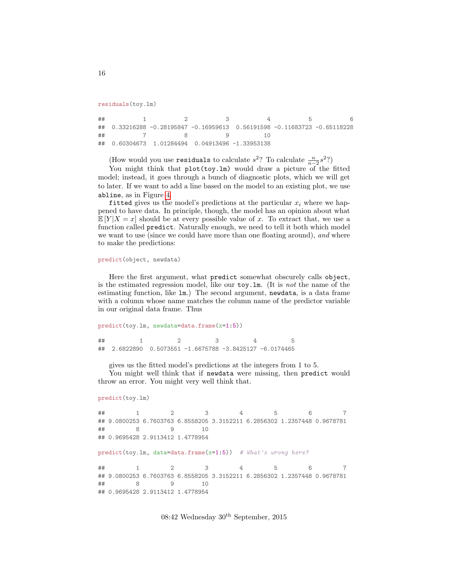```
residuals(toy.lm)
```

```
## 1 2 3 4 5 6
## 0.33216288 -0.28195847 -0.16959613 0.56191598 -0.11683723 -0.65118228
## 7 8 9 10
## 0.60304673 1.01284494 0.04913496 -1.33953138
```
(How would you use **residuals** to calculate  $s^2$ ? To calculate  $\frac{n}{n-2}s^2$ ?)

You might think that plot(toy.lm) would draw a picture of the fitted model; instead, it goes through a bunch of diagnostic plots, which we will get to later. If we want to add a line based on the model to an existing plot, we use abline, as in Figure [4.](#page-16-0)

fitted gives us the model's predictions at the particular  $x_i$  where we happened to have data. In principle, though, the model has an opinion about what  $\mathbb{E}[Y|X=x]$  should be at every possible value of x. To extract that, we use a function called predict. Naturally enough, we need to tell it both which model we want to use (since we could have more than one floating around), and where to make the predictions:

```
predict(object, newdata)
```
Here the first argument, what predict somewhat obscurely calls object, is the estimated regression model, like our toy.lm. (It is not the name of the estimating function, like lm.) The second argument, newdata, is a data frame with a column whose name matches the column name of the predictor variable in our original data frame. Thus

```
predict(toy.lm, newdata=data.frame(x=1:5))
## 1 2 3 4 5
## 2.6822890 0.5073551 -1.6675788 -3.8425127 -6.0174465
```
gives us the fitted model's predictions at the integers from 1 to 5.

You might well think that if newdata were missing, then predict would throw an error. You might very well think that.

```
predict(toy.lm)
```

```
## 1 2 3 4 5 6 7
## 9.0800253 6.7603763 6.8558205 3.3152211 6.2856302 1.2357448 0.9678781
## 8 9 10
## 0.9695428 2.9113412 1.4778954
predict(toy.lm, data=data.frame(x=1:5)) # What's wrong here?
## 1 2 3 4 5 6 7
## 9.0800253 6.7603763 6.8558205 3.3152211 6.2856302 1.2357448 0.9678781
## 8 9 10
## 0.9695428 2.9113412 1.4778954
```
08:42 Wednesday 30th September, 2015

16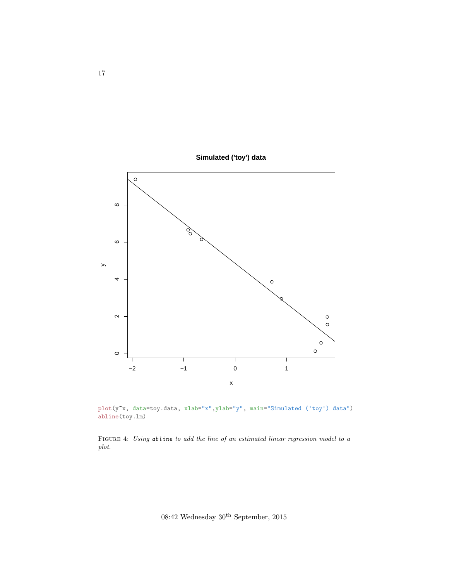

<span id="page-16-0"></span>

plot(y~x, data=toy.data, xlab="x",ylab="y", main="Simulated ('toy') data") abline(toy.lm)

FIGURE 4: Using abline to add the line of an estimated linear regression model to a plot.

08:42 Wednesday $30^{\rm th}$  September, 2015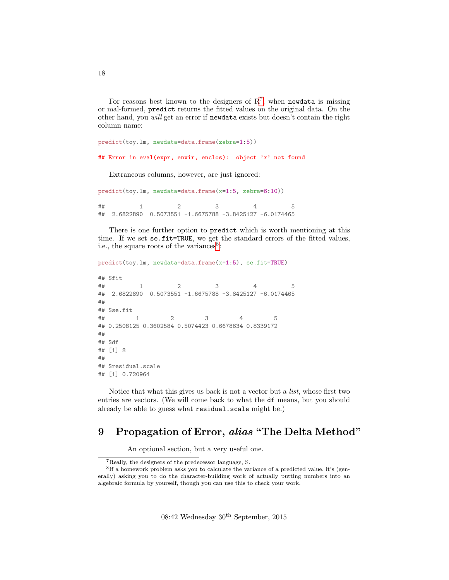For reasons best known to the designers of  $\mathbb{R}^7$  $\mathbb{R}^7$ , when newdata is missing or mal-formed, predict returns the fitted values on the original data. On the other hand, you will get an error if newdata exists but doesn't contain the right column name:

predict(toy.lm, newdata=data.frame(zebra=1:5))

## Error in eval(expr, envir, enclos): object 'x' not found

Extraneous columns, however, are just ignored:

predict(toy.lm, newdata=data.frame(x=1:5, zebra=6:10)) ## 1 2 3 4 5 ## 2.6822890 0.5073551 -1.6675788 -3.8425127 -6.0174465

There is one further option to predict which is worth mentioning at this time. If we set se.fit=TRUE, we get the standard errors of the fitted values, i.e., the square roots of the variances<sup>[8](#page-17-2)</sup>:

```
predict(toy.lm, newdata=data.frame(x=1:5), se.fit=TRUE)
## $fit
## 1 2 3 4 5
## 2.6822890 0.5073551 -1.6675788 -3.8425127 -6.0174465
##
## $se.fit
## 1 2 3 4 5
## 0.2508125 0.3602584 0.5074423 0.6678634 0.8339172
##
## $df
## [1] 8
##
## $residual.scale
## [1] 0.720964
```
Notice that what this gives us back is not a vector but a list, whose first two entries are vectors. (We will come back to what the df means, but you should already be able to guess what residual.scale might be.)

## <span id="page-17-0"></span>9 Propagation of Error, alias "The Delta Method"

An optional section, but a very useful one.

<span id="page-17-2"></span><span id="page-17-1"></span><sup>7</sup>Really, the designers of the predecessor language, S.

<sup>&</sup>lt;sup>8</sup>If a homework problem asks you to calculate the variance of a predicted value, it's (generally) asking you to do the character-building work of actually putting numbers into an algebraic formula by yourself, though you can use this to check your work.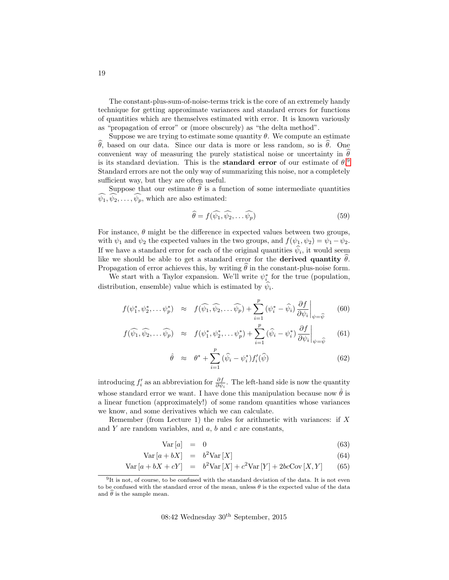The constant-plus-sum-of-noise-terms trick is the core of an extremely handy technique for getting approximate variances and standard errors for functions of quantities which are themselves estimated with error. It is known variously as "propagation of error" or (more obscurely) as "the delta method".

Suppose we are trying to estimate some quantity  $\theta$ . We compute an estimate θ, based on our data. Since our data is more or less random, so is θ. One convenient way of measuring the purely statistical noise or uncertainty in  $\theta$ is its standard deviation. This is the **standard error** of our estimate of  $\theta$ .<sup>[9](#page-18-0)</sup> Standard errors are not the only way of summarizing this noise, nor a completely sufficient way, but they are often useful.

Suppose that our estimate  $\hat{\theta}$  is a function of some intermediate quantities  $\widehat{\psi}_1, \widehat{\psi}_2, \ldots, \widehat{\psi}_p$ , which are also estimated:

$$
\widehat{\theta} = f(\widehat{\psi_1}, \widehat{\psi_2}, \dots, \widehat{\psi_p})
$$
\n(59)

For instance,  $\theta$  might be the difference in expected values between two groups, with  $\psi_1$  and  $\psi_2$  the expected values in the two groups, and  $f(\psi_1, \psi_2) = \psi_1 - \psi_2$ . If we have a standard error for each of the original quantities  $\psi_i$ , it would seem like we should be able to get a standard error for the **derived quantity**  $\theta$ . Propagation of error achieves this, by writing  $\hat{\theta}$  in the constant-plus-noise form.

We start with a Taylor expansion. We'll write  $\psi^*_{i}$  for the true (population, distribution, ensemble) value which is estimated by  $\psi_i$ .

<span id="page-18-1"></span>
$$
f(\psi_1^*, \psi_2^*, \dots \psi_p^*) \approx f(\widehat{\psi_1}, \widehat{\psi_2}, \dots \widehat{\psi_p}) + \sum_{i=1}^p (\psi_i^* - \widehat{\psi}_i) \frac{\partial f}{\partial \psi_i} \bigg|_{\psi = \widehat{\psi}}
$$
(60)

$$
f(\widehat{\psi_1}, \widehat{\psi_2}, \dots \widehat{\psi_p}) \approx f(\psi_1^*, \psi_2^*, \dots \psi_p^*) + \sum_{i=1}^p (\widehat{\psi}_i - \psi_i^*) \frac{\partial f}{\partial \psi_i} \bigg|_{\psi = \widehat{\psi}}
$$
(61)

$$
\hat{\theta} \approx \theta^* + \sum_{i=1}^p (\widehat{\psi}_i - \psi_i^*) f_i'(\widehat{\psi}) \tag{62}
$$

introducing  $f'_i$  as an abbreviation for  $\frac{\partial f}{\partial \psi_i}$ . The left-hand side is now the quantity whose standard error we want. I have done this manipulation because now  $\hat{\theta}$  is a linear function (approximately!) of some random quantities whose variances we know, and some derivatives which we can calculate.

Remember (from Lecture 1) the rules for arithmetic with variances: if  $X$ and Y are random variables, and  $a, b$  and  $c$  are constants,

$$
Var\left[a\right] = 0 \tag{63}
$$

$$
Var[a + bX] = b^2 Var[X]
$$
\n(64)

$$
Var[a + bX + cY] = b2 Var[X] + c2 Var[Y] + 2bcCov[X, Y]
$$
 (65)

<span id="page-18-0"></span> $9$ It is not, of course, to be confused with the standard deviation of the data. It is not even to be confused with the standard error of the mean, unless  $\theta$  is the expected value of the data and  $\hat{\theta}$  is the sample mean.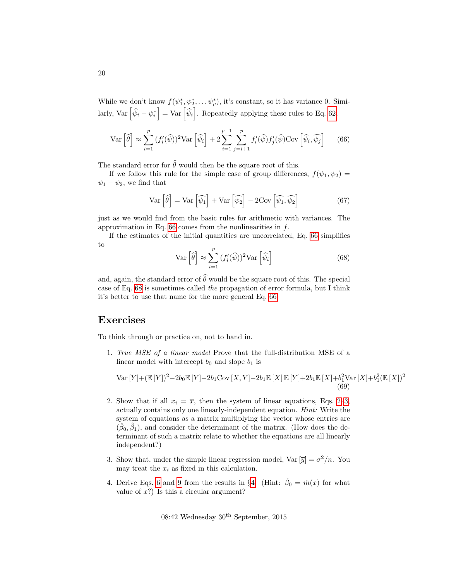While we don't know  $f(\psi_1^*, \psi_2^*, \dots \psi_p^*)$ , it's constant, so it has variance 0. Similarly, Var  $\left[\hat{\psi}_i - \psi_i^*\right] = \text{Var}\left[\hat{\psi}_i\right]$ . Repeatedly applying these rules to Eq. [62,](#page-18-1)

<span id="page-19-2"></span>
$$
\text{Var}\left[\widehat{\theta}\right] \approx \sum_{i=1}^{p} (f_i'(\widehat{\psi}))^2 \text{Var}\left[\widehat{\psi}_i\right] + 2 \sum_{i=1}^{p-1} \sum_{j=i+1}^{p} f_i'(\widehat{\psi}) f_j'(\widehat{\psi}) \text{Cov}\left[\widehat{\psi}_i, \widehat{\psi}_j\right] \tag{66}
$$

The standard error for  $\widehat{\theta}$  would then be the square root of this.

If we follow this rule for the simple case of group differences,  $f(\psi_1, \psi_2) =$  $\psi_1 - \psi_2$ , we find that

$$
\text{Var}\left[\widehat{\theta}\right] = \text{Var}\left[\widehat{\psi_1}\right] + \text{Var}\left[\widehat{\psi_2}\right] - 2\text{Cov}\left[\widehat{\psi_1}, \widehat{\psi_2}\right] \tag{67}
$$

just as we would find from the basic rules for arithmetic with variances. The approximation in Eq. [66](#page-19-2) comes from the nonlinearities in  $f$ .

If the estimates of the initial quantities are uncorrelated, Eq. [66](#page-19-2) simplifies to

<span id="page-19-3"></span>
$$
\text{Var}\left[\widehat{\theta}\right] \approx \sum_{i=1}^{p} \left(f_i'(\widehat{\psi})\right)^2 \text{Var}\left[\widehat{\psi}_i\right] \tag{68}
$$

and, again, the standard error of  $\widehat{\theta}$  would be the square root of this. The special case of Eq. [68](#page-19-3) is sometimes called the propagation of error formula, but I think it's better to use that name for the more general Eq. [66.](#page-19-2)

## Exercises

To think through or practice on, not to hand in.

1. True MSE of a linear model Prove that the full-distribution MSE of a linear model with intercept  $b_0$  and slope  $b_1$  is

Var 
$$
[Y]
$$
 +  $(\mathbb{E}[Y])^2 - 2b_0 \mathbb{E}[Y] - 2b_1 \text{Cov }[X, Y] - 2b_1 \mathbb{E}[X] \mathbb{E}[Y] + 2b_1 \mathbb{E}[X] + b_1^2 \text{Var }[X] + b_1^2 (\mathbb{E}[X])^2$   
(69)

- <span id="page-19-0"></span>2. Show that if all  $x_i = \overline{x}$ , then the system of linear equations, Eqs. [2–3,](#page-1-1) actually contains only one linearly-independent equation. Hint: Write the system of equations as a matrix multiplying the vector whose entries are  $(\hat{\beta}_0, \hat{\beta}_1)$ , and consider the determinant of the matrix. (How does the determinant of such a matrix relate to whether the equations are all linearly independent?)
- <span id="page-19-1"></span>3. Show that, under the simple linear regression model,  $Var[\overline{y}] = \sigma^2/n$ . You may treat the  $x_i$  as fixed in this calculation.
- 4. Derive Eqs. [6](#page-1-2) and [9](#page-1-3) from the results in §[4.](#page-7-0) (Hint:  $\hat{\beta}_0 = \hat{m}(x)$  for what value of  $x$ ?) Is this a circular argument?